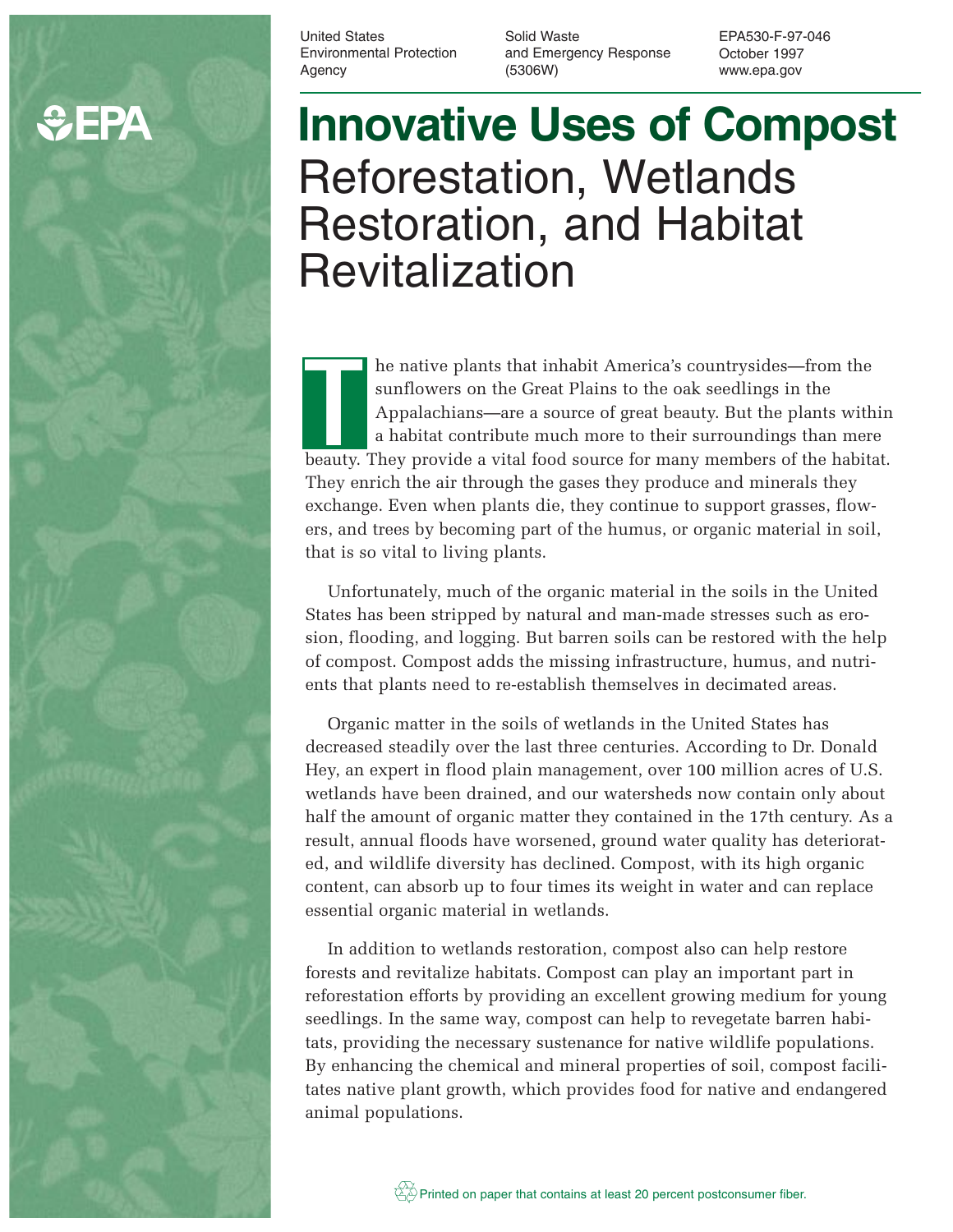# **C**EPA

United States Environmental Protection Agency

Solid Waste and Emergency Response (5306W)

EPA530-F-97-046 October 1997 www.epa.gov

# **Innovative Uses of Compost** Reforestation, Wetlands Restoration, and Habitat Revitalization

he native plants that inhabit America's countrysides—from the sunflowers on the Great Plains to the oak seedlings in the Appalachians—are a source of great beauty. But the plants within a habitat contribute much more to their surroundings than mere be native plants that inhabit America's countrysides—from the sunflowers on the Great Plains to the oak seedlings in the Appalachians—are a source of great beauty. But the plants within a habitat contribute much more to th They enrich the air through the gases they produce and minerals they exchange. Even when plants die, they continue to support grasses, flowers, and trees by becoming part of the humus, or organic material in soil, that is so vital to living plants.

Unfortunately, much of the organic material in the soils in the United States has been stripped by natural and man-made stresses such as erosion, flooding, and logging. But barren soils can be restored with the help of compost. Compost adds the missing infrastructure, humus, and nutrients that plants need to re-establish themselves in decimated areas.

Organic matter in the soils of wetlands in the United States has decreased steadily over the last three centuries. According to Dr. Donald Hey, an expert in flood plain management, over 100 million acres of U.S. wetlands have been drained, and our watersheds now contain only about half the amount of organic matter they contained in the 17th century. As a result, annual floods have worsened, ground water quality has deteriorated, and wildlife diversity has declined. Compost, with its high organic content, can absorb up to four times its weight in water and can replace essential organic material in wetlands.

In addition to wetlands restoration, compost also can help restore forests and revitalize habitats. Compost can play an important part in reforestation efforts by providing an excellent growing medium for young seedlings. In the same way, compost can help to revegetate barren habitats, providing the necessary sustenance for native wildlife populations. By enhancing the chemical and mineral properties of soil, compost facilitates native plant growth, which provides food for native and endangered animal populations.

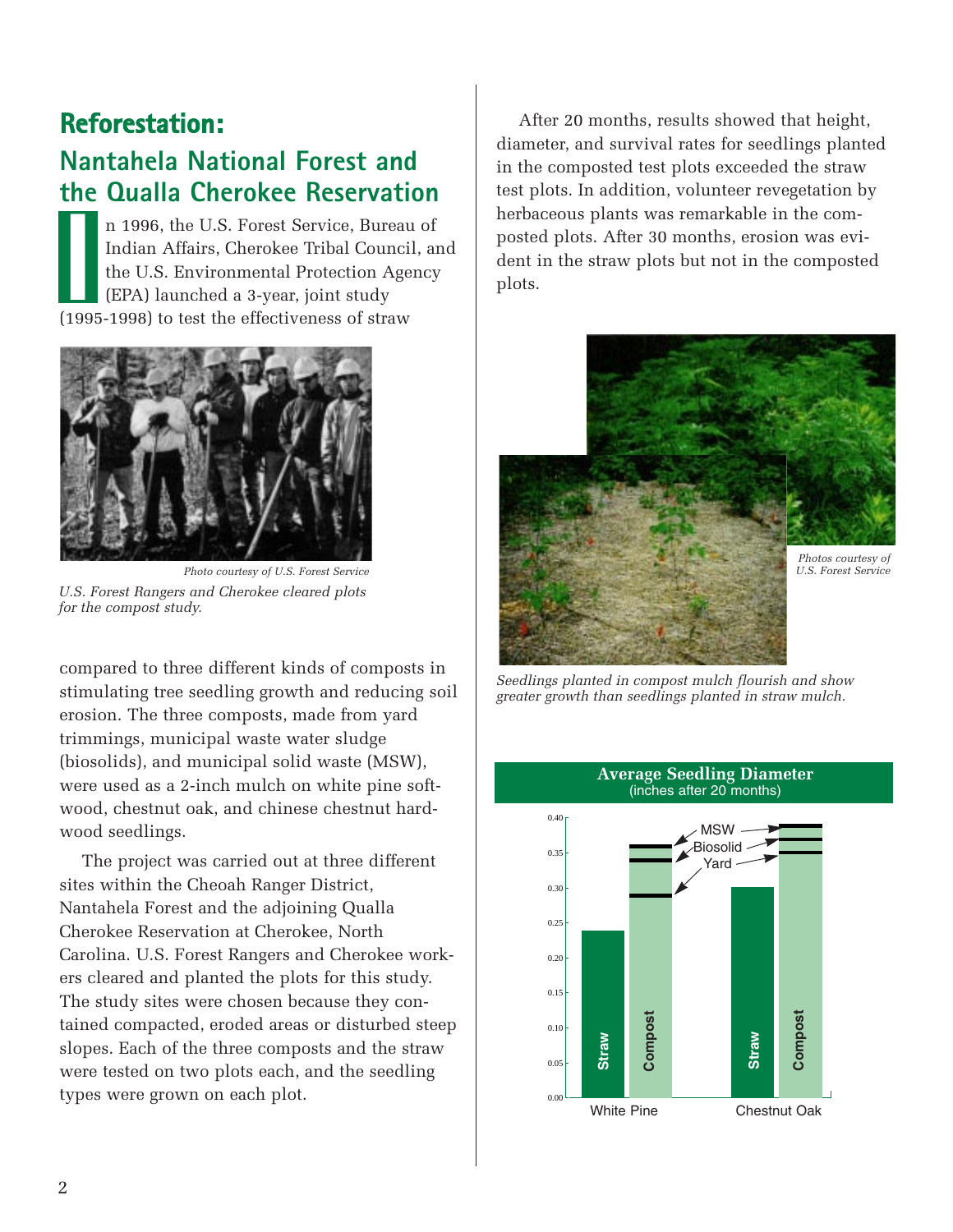### **Reforestation:**

#### **Nantahela National Forest and the Qualla Cherokee Reservation**

n 1996, the U.S. Forest Service, Bureau of Indian Affairs, Cherokee Tribal Council, and the U.S. Environmental Protection Agency (EPA) launched a 3-year, joint study n 1996, the U.S. Forest Service, Bureau<br>Indian Affairs, Cherokee Tribal Council<br>the U.S. Environmental Protection Age<br>(EPA) launched a 3-year, joint study<br>(1995-1998) to test the effectiveness of straw



*Photo courtesy of U.S. Forest Service U.S. Forest Rangers and Cherokee cleared plots for the compost study.*

compared to three different kinds of composts in stimulating tree seedling growth and reducing soil erosion. The three composts, made from yard trimmings, municipal waste water sludge (biosolids), and municipal solid waste (MSW), were used as a 2-inch mulch on white pine softwood, chestnut oak, and chinese chestnut hardwood seedlings.

The project was carried out at three different sites within the Cheoah Ranger District, Nantahela Forest and the adjoining Qualla Cherokee Reservation at Cherokee, North Carolina. U.S. Forest Rangers and Cherokee workers cleared and planted the plots for this study. The study sites were chosen because they contained compacted, eroded areas or disturbed steep slopes. Each of the three composts and the straw were tested on two plots each, and the seedling types were grown on each plot.

After 20 months, results showed that height, diameter, and survival rates for seedlings planted in the composted test plots exceeded the straw test plots. In addition, volunteer revegetation by herbaceous plants was remarkable in the composted plots. After 30 months, erosion was evident in the straw plots but not in the composted plots.



*Seedlings planted in compost mulch flourish and show greater growth than seedlings planted in straw mulch.*



#### **Average Seedling Diameter** (inches after 20 months)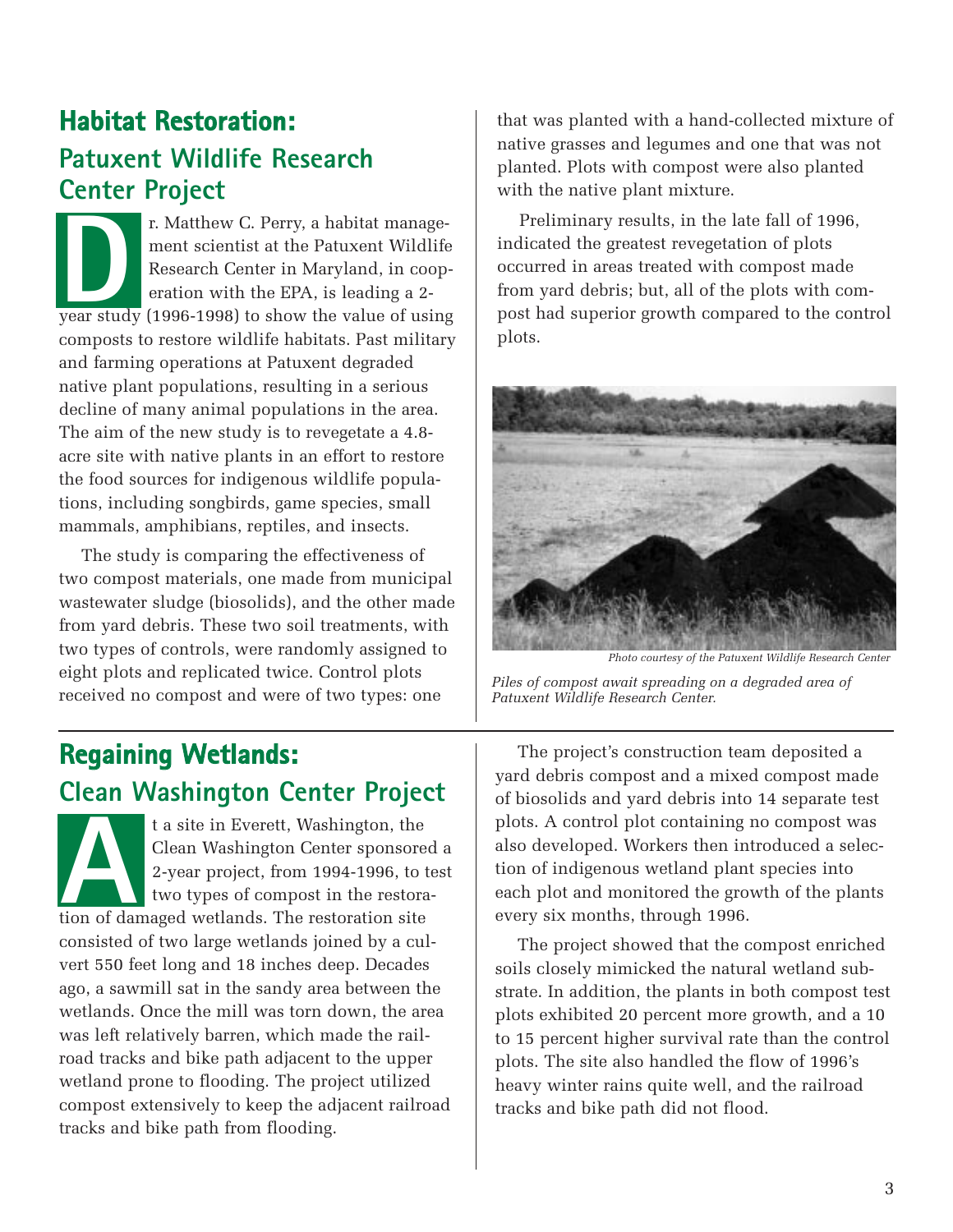## **Habitat Restoration: Patuxent Wildlife Research Center Project**

r. Matthew C. Perry, a habitat management scientist at the Patuxent Wildlife Research Center in Maryland, in cooperation with the EPA, is leading a 2 r. Matthew C. Perry, a habitat management scientist at the Patuxent Wildlife Research Center in Maryland, in cooperation with the EPA, is leading a 2-year study (1996-1998) to show the value of using composts to restore wildlife habitats. Past military and farming operations at Patuxent degraded native plant populations, resulting in a serious decline of many animal populations in the area. The aim of the new study is to revegetate a 4.8 acre site with native plants in an effort to restore the food sources for indigenous wildlife populations, including songbirds, game species, small mammals, amphibians, reptiles, and insects.

The study is comparing the effectiveness of two compost materials, one made from municipal wastewater sludge (biosolids), and the other made from yard debris. These two soil treatments, with two types of controls, were randomly assigned to eight plots and replicated twice. Control plots received no compost and were of two types: one

## **Regaining Wetlands: Clean Washington Center Project**

t a site in Everett, Washington, the Clean Washington Center sponsored a 2-year project, from 1994-1996, to test two types of compost in the restorat a site in Everett, Washington, the<br>Clean Washington Center sponsore<br>2-year project, from 1994-1996, to<br>two types of compost in the restoration<br>of damaged wetlands. The restoration site consisted of two large wetlands joined by a culvert 550 feet long and 18 inches deep. Decades ago, a sawmill sat in the sandy area between the wetlands. Once the mill was torn down, the area was left relatively barren, which made the railroad tracks and bike path adjacent to the upper wetland prone to flooding. The project utilized compost extensively to keep the adjacent railroad tracks and bike path from flooding.

that was planted with a hand-collected mixture of native grasses and legumes and one that was not planted. Plots with compost were also planted with the native plant mixture.

Preliminary results, in the late fall of 1996, indicated the greatest revegetation of plots occurred in areas treated with compost made from yard debris; but, all of the plots with compost had superior growth compared to the control plots.



*Photo courtesy of the Patuxent Wildlife Research Center*

*Piles of compost await spreading on a degraded area of Patuxent Wildlife Research Center.*

The project's construction team deposited a yard debris compost and a mixed compost made of biosolids and yard debris into 14 separate test plots. A control plot containing no compost was also developed. Workers then introduced a selection of indigenous wetland plant species into each plot and monitored the growth of the plants every six months, through 1996.

The project showed that the compost enriched soils closely mimicked the natural wetland substrate. In addition, the plants in both compost test plots exhibited 20 percent more growth, and a 10 to 15 percent higher survival rate than the control plots. The site also handled the flow of 1996's heavy winter rains quite well, and the railroad tracks and bike path did not flood.